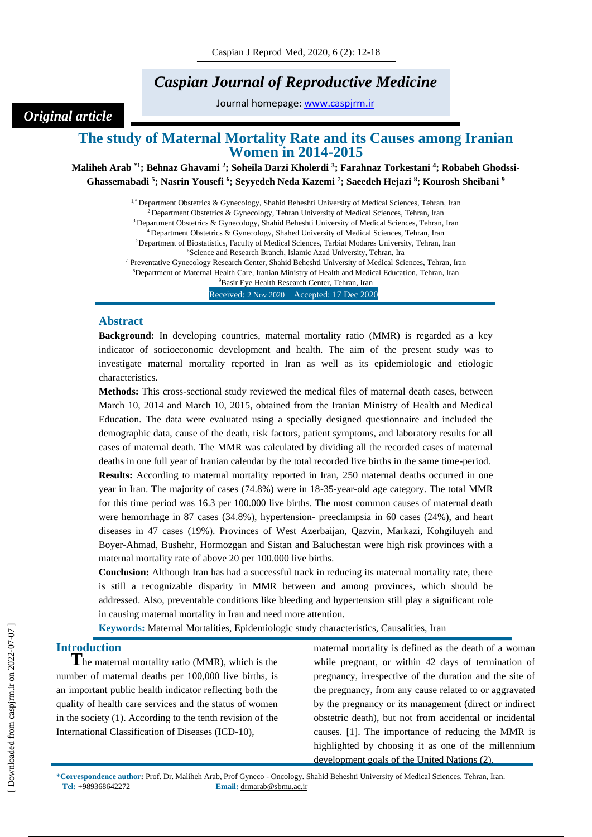# *Caspian Journal of Reproductive Medicine*

Journal homepage: [www.caspjrm.ir](http://www.caspjrm.ir/)

## **The study of Maternal Mortality Rate and its Causes among Iranian Women in 2014-2015**

**Maliheh Arab \*1; Behnaz Ghavami <sup>2</sup> ; Soheila Darzi Kholerdi <sup>3</sup> ; Farahnaz Torkestani <sup>4</sup> ; Robabeh Ghodssi-Ghassemabadi <sup>5</sup> ; Nasrin Yousefi <sup>6</sup> ; Seyyedeh Neda Kazemi <sup>7</sup> ; Saeedeh Hejazi <sup>8</sup> ; Kourosh Sheibani <sup>9</sup>**

> <sup>1,\*</sup> Department Obstetrics & Gynecology, Shahid Beheshti University of Medical Sciences, Tehran, Iran  $2^{2}$  Department Obstetrics & Gynecology, Tehran University of Medical Sciences, Tehran, Iran <sup>3</sup> Department Obstetrics & Gynecology, Shahid Beheshti University of Medical Sciences, Tehran, Iran <sup>4</sup> Department Obstetrics & Gynecology, Shahed University of Medical Sciences, Tehran, Iran <sup>5</sup>Department of Biostatistics, Faculty of Medical Sciences, Tarbiat Modares University, Tehran, Iran <sup>6</sup>Science and Research Branch, Islamic Azad University, Tehran, Ira

<sup>7</sup> Preventative Gynecology Research Center, Shahid Beheshti University of Medical Sciences, Tehran, Iran <sup>8</sup>Department of Maternal Health Care, Iranian Ministry of Health and Medical Education, Tehran, Iran

<sup>9</sup>Basir Eye Health Research Center, Tehran, Iran

Received: 2 Nov 2020 Accepted: 17 Dec 2020

#### **Abstract**

*Original article*

**Background:** In developing countries, maternal mortality ratio (MMR) is regarded as a key indicator of socioeconomic development and health. The aim of the present study was to investigate maternal mortality reported in Iran as well as its epidemiologic and etiologic characteristics.

**Methods:** This cross-sectional study reviewed the medical files of maternal death cases, between March 10, 2014 and March 10, 2015, obtained from the Iranian Ministry of Health and Medical Education. The data were evaluated using a specially designed questionnaire and included the demographic data, cause of the death, risk factors, patient symptoms, and laboratory results for all cases of maternal death. The MMR was calculated by dividing all the recorded cases of maternal deaths in one full year of Iranian calendar by the total recorded live births in the same time-period. **Results:** According to maternal mortality reported in Iran, 250 maternal deaths occurred in one year in Iran. The majority of cases (74.8%) were in 18-35-year-old age category. The total MMR for this time period was 16.3 per 100.000 live births. The most common causes of maternal death were hemorrhage in 87 cases (34.8%), hypertension- preeclampsia in 60 cases (24%), and heart diseases in 47 cases (19%). Provinces of West Azerbaijan, Qazvin, Markazi, Kohgiluyeh and Boyer-Ahmad, Bushehr, Hormozgan and Sistan and Baluchestan were high risk provinces with a maternal mortality rate of above 20 per 100.000 live births.

**Conclusion:** Although Iran has had a successful track in reducing its maternal mortality rate, there is still a recognizable disparity in MMR between and among provinces, which should be addressed. Also, preventable conditions like bleeding and hypertension still play a significant role in causing maternal mortality in Iran and need more attention.

**Keywords:** Maternal Mortalities, Epidemiologic study characteristics, Causalities, Iran

### **Introduction**

**T**he maternal mortality ratio (MMR), which is the number of maternal deaths per 100,000 live births, is an important public health indicator reflecting both the quality of health care services and the status of women in the society (1). According to the tenth revision of the International Classification of Diseases (ICD-10),

maternal mortality is defined as the death of a woman while pregnant, or within 42 days of termination of pregnancy, irrespective of the duration and the site of the pregnancy, from any cause related to or aggravated by the pregnancy or its management (direct or indirect obstetric death), but not from accidental or incidental causes. [1]. The importance of reducing the MMR is highlighted by choosing it as one of the millennium development goals of the United Nations (2).

\***Correspondence author:** Prof. Dr. Maliheh Arab, Prof Gyneco - Oncology. Shahid Beheshti University of Medical Sciences. Tehran, Iran. **Tel:** +989368642272 **Email:** drmarab@sbmu.ac.ir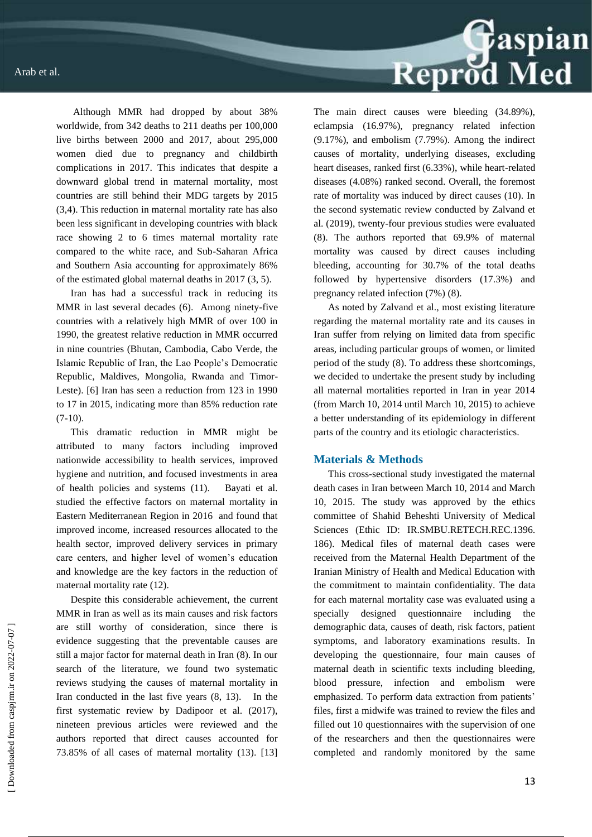Although MMR had dropped by about 38% worldwide, from 342 deaths to 211 deaths per 100,000 live births between 2000 and 2017, about 295,000 women died due to pregnancy and childbirth complications in 2017. This indicates that despite a downward global trend in maternal mortality, most countries are still behind their MDG targets by 2015 (3,4). This reduction in maternal mortality rate has also been less significant in developing countries with black race showing 2 to 6 times maternal mortality rate compared to the white race, and Sub-Saharan Africa and Southern Asia accounting for approximately 86% of the estimated global maternal deaths in 2017 (3, 5).

Iran has had a successful track in reducing its MMR in last several decades (6). Among ninety-five countries with a relatively high MMR of over 100 in 1990, the greatest relative reduction in MMR occurred in nine countries (Bhutan, Cambodia, Cabo Verde, the Islamic Republic of Iran, the Lao People's Democratic Republic, Maldives, Mongolia, Rwanda and Timor-Leste). [6] Iran has seen a reduction from 123 in 1990 to 17 in 2015, indicating more than 85% reduction rate  $(7-10)$ .

This dramatic reduction in MMR might be attributed to many factors including improved nationwide accessibility to health services, improved hygiene and nutrition, and focused investments in area of health policies and systems (11). Bayati et al. studied the effective factors on maternal mortality in Eastern Mediterranean Region in 2016 and found that improved income, increased resources allocated to the health sector, improved delivery services in primary care centers, and higher level of women's education and knowledge are the key factors in the reduction of maternal mortality rate (12).

Despite this considerable achievement, the current MMR in Iran as well as its main causes and risk factors are still worthy of consideration, since there is evidence suggesting that the preventable causes are still a major factor for maternal death in Iran (8). In our search of the literature, we found two systematic reviews studying the causes of maternal mortality in Iran conducted in the last five years (8, 13). In the first systematic review by Dadipoor et al. (2017), nineteen previous articles were reviewed and the authors reported that direct causes accounted for 73.85% of all cases of maternal mortality (13). [13]



The main direct causes were bleeding (34.89%), eclampsia (16.97%), pregnancy related infection (9.17%), and embolism (7.79%). Among the indirect causes of mortality, underlying diseases, excluding heart diseases, ranked first (6.33%), while heart-related diseases (4.08%) ranked second. Overall, the foremost rate of mortality was induced by direct causes (10). In the second systematic review conducted by Zalvand et al. (2019), twenty-four previous studies were evaluated (8). The authors reported that 69.9% of maternal mortality was caused by direct causes including bleeding, accounting for 30.7% of the total deaths followed by hypertensive disorders (17.3%) and pregnancy related infection (7%) (8).

As noted by Zalvand et al., most existing literature regarding the maternal mortality rate and its causes in Iran suffer from relying on limited data from specific areas, including particular groups of women, or limited period of the study (8). To address these shortcomings, we decided to undertake the present study by including all maternal mortalities reported in Iran in year 2014 (from March 10, 2014 until March 10, 2015) to achieve a better understanding of its epidemiology in different parts of the country and its etiologic characteristics.

#### **Materials & Methods**

This cross-sectional study investigated the maternal death cases in Iran between March 10, 2014 and March 10, 2015. The study was approved by the ethics committee of Shahid Beheshti University of Medical Sciences (Ethic ID: IR.SMBU.RETECH.REC.1396. 186). Medical files of maternal death cases were received from the Maternal Health Department of the Iranian Ministry of Health and Medical Education with the commitment to maintain confidentiality. The data for each maternal mortality case was evaluated using a specially designed questionnaire including the demographic data, causes of death, risk factors, patient symptoms, and laboratory examinations results. In developing the questionnaire, four main causes of maternal death in scientific texts including bleeding, blood pressure, infection and embolism were emphasized. To perform data extraction from patients' files, first a midwife was trained to review the files and filled out 10 questionnaires with the supervision of one of the researchers and then the questionnaires were completed and randomly monitored by the same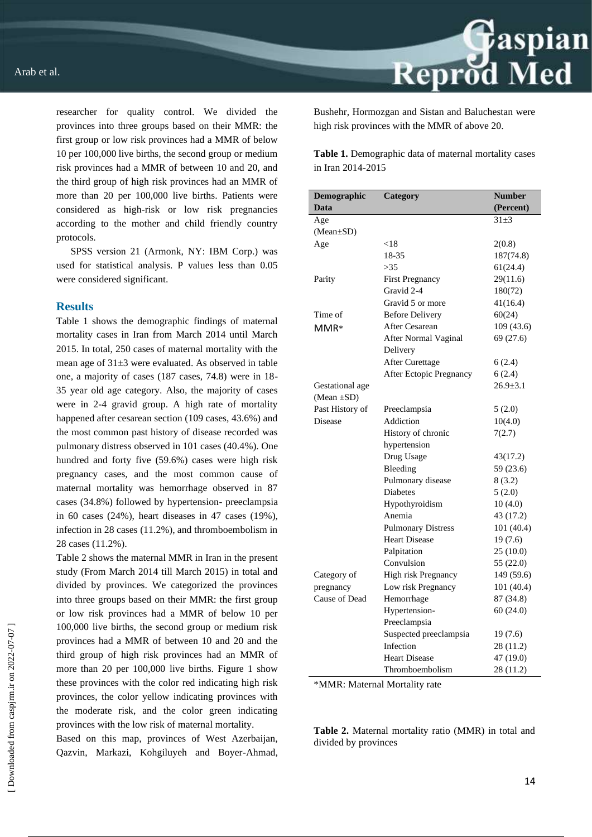researcher for quality control. We divided the provinces into three groups based on their MMR: the first group or low risk provinces had a MMR of below 10 per 100,000 live births, the second group or medium risk provinces had a MMR of between 10 and 20, and the third group of high risk provinces had an MMR of more than 20 per 100,000 live births. Patients were considered as high-risk or low risk pregnancies according to the mother and child friendly country protocols.

SPSS version 21 (Armonk, NY: IBM Corp.) was used for statistical analysis. P values less than 0.05 were considered significant.

#### **Results**

Table 1 shows the demographic findings of maternal mortality cases in Iran from March 2014 until March 2015. In total, 250 cases of maternal mortality with the mean age of 31±3 were evaluated. As observed in table one, a majority of cases (187 cases, 74.8) were in 18- 35 year old age category. Also, the majority of cases were in 2-4 gravid group. A high rate of mortality happened after cesarean section (109 cases, 43.6%) and the most common past history of disease recorded was pulmonary distress observed in 101 cases (40.4%). One hundred and forty five (59.6%) cases were high risk pregnancy cases, and the most common cause of maternal mortality was hemorrhage observed in 87 cases (34.8%) followed by hypertension- preeclampsia in 60 cases (24%), heart diseases in 47 cases (19%), infection in 28 cases (11.2%), and thromboembolism in 28 cases (11.2%).

Table 2 shows the maternal MMR in Iran in the present study (From March 2014 till March 2015) in total and divided by provinces. We categorized the provinces into three groups based on their MMR: the first group or low risk provinces had a MMR of below 10 per 100,000 live births, the second group or medium risk provinces had a MMR of between 10 and 20 and the third group of high risk provinces had an MMR of more than 20 per 100,000 live births. Figure 1 show these provinces with the color red indicating high risk provinces, the color yellow indicating provinces with the moderate risk, and the color green indicating provinces with the low risk of maternal mortality.

Based on this map, provinces of West Azerbaijan, Qazvin, Markazi, Kohgiluyeh and Boyer-Ahmad, Bushehr, Hormozgan and Sistan and Baluchestan were high risk provinces with the MMR of above 20.

**Table 1.** Demographic data of maternal mortality cases in Iran 2014-2015

| Demographic      | Category                       | <b>Number</b>  |
|------------------|--------------------------------|----------------|
| Data             |                                | (Percent)      |
| Age              |                                | $31\pm3$       |
| $(Mean \pm SD)$  |                                |                |
| Age              | < 18                           | 2(0.8)         |
|                  | 18-35                          | 187(74.8)      |
|                  | >35                            | 61(24.4)       |
| Parity           | <b>First Pregnancy</b>         | 29(11.6)       |
|                  | Gravid 2-4                     | 180(72)        |
|                  | Gravid 5 or more               | 41(16.4)       |
| Time of          | <b>Before Delivery</b>         | 60(24)         |
| $MMR*$           | After Cesarean                 | 109 (43.6)     |
|                  | After Normal Vaginal           | 69 (27.6)      |
|                  | Delivery                       |                |
|                  | <b>After Curettage</b>         | 6(2.4)         |
|                  | <b>After Ectopic Pregnancy</b> | 6(2.4)         |
| Gestational age  |                                | $26.9 \pm 3.1$ |
| (Mean $\pm SD$ ) |                                |                |
| Past History of  | Preeclampsia                   | 5(2.0)         |
| Disease          | Addiction                      | 10(4.0)        |
|                  | History of chronic             | 7(2.7)         |
|                  | hypertension                   |                |
|                  | Drug Usage                     | 43(17.2)       |
|                  | Bleeding                       | 59 (23.6)      |
|                  | Pulmonary disease              | 8(3.2)         |
|                  | <b>Diabetes</b>                | 5(2.0)         |
|                  | Hypothyroidism                 | 10(4.0)        |
|                  | Anemia                         | 43 (17.2)      |
|                  | <b>Pulmonary Distress</b>      | 101 (40.4)     |
|                  | <b>Heart Disease</b>           | 19(7.6)        |
|                  | Palpitation                    | 25(10.0)       |
|                  | Convulsion                     | 55 (22.0)      |
| Category of      | High risk Pregnancy            | 149 (59.6)     |
| pregnancy        | Low risk Pregnancy             | 101 (40.4)     |
| Cause of Dead    | Hemorrhage                     | 87 (34.8)      |
|                  | Hypertension-                  | 60(24.0)       |
|                  | Preeclampsia                   |                |
|                  | Suspected preeclampsia         | 19(7.6)        |
|                  | Infection                      | 28 (11.2)      |
|                  | <b>Heart Disease</b>           | 47 (19.0)      |
|                  | Thromboembolism                | 28 (11.2)      |

\*MMR: Maternal Mortality rate

**Table 2.** Maternal mortality ratio (MMR) in total and divided by provinces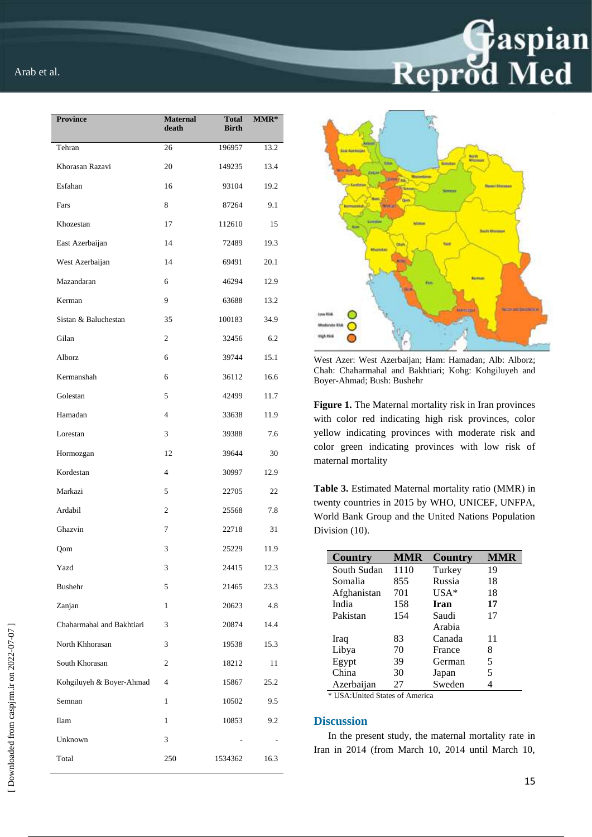| <b>Province</b>           | <b>Maternal</b><br>death | <b>Total</b><br><b>Birth</b> | $MMR*$ |
|---------------------------|--------------------------|------------------------------|--------|
| Tehran                    | 26                       | 196957                       | 13.2   |
| Khorasan Razavi           | 20                       | 149235                       | 13.4   |
| Esfahan                   | 16                       | 93104                        | 19.2   |
| Fars                      | 8                        | 87264                        | 9.1    |
| Khozestan                 | 17                       | 112610                       | 15     |
| East Azerbaijan           | 14                       | 72489                        | 19.3   |
| West Azerbaijan           | 14                       | 69491                        | 20.1   |
| Mazandaran                | 6                        | 46294                        | 12.9   |
| Kerman                    | 9                        | 63688                        | 13.2   |
| Sistan & Baluchestan      | 35                       | 100183                       | 34.9   |
| Gilan                     | $\overline{c}$           | 32456                        | 6.2    |
| Alborz                    | 6                        | 39744                        | 15.1   |
| Kermanshah                | 6                        | 36112                        | 16.6   |
| Golestan                  | 5                        | 42499                        | 11.7   |
| Hamadan                   | $\overline{4}$           | 33638                        | 11.9   |
| Lorestan                  | 3                        | 39388                        | 7.6    |
| Hormozgan                 | 12                       | 39644                        | 30     |
| Kordestan                 | $\overline{4}$           | 30997                        | 12.9   |
| Markazi                   | 5                        | 22705                        | 22     |
| Ardabil                   | $\mathfrak{2}$           | 25568                        | 7.8    |
| Ghazvin                   | 7                        | 22718                        | 31     |
| Qom                       | 3                        | 25229                        | 11.9   |
| Yazd                      | 3                        | 24415                        | 12.3   |
| <b>Bushehr</b>            | 5                        | 21465                        | 23.3   |
| Zanjan                    | 1                        | 20623                        | 4.8    |
| Chaharmahal and Bakhtiari | 3                        | 20874                        | 14.4   |
| North Khhorasan           | 3                        | 19538                        | 15.3   |
| South Khorasan            | $\overline{c}$           | 18212                        | 11     |
| Kohgiluyeh & Boyer-Ahmad  | 4                        | 15867                        | 25.2   |
| Semnan                    | 1                        | 10502                        | 9.5    |
| Ilam                      | 1                        | 10853                        | 9.2    |
| Unknown                   | 3                        |                              | ÷,     |
| Total                     | 250                      | 1534362                      | 16.3   |



West Azer: West Azerbaijan; Ham: Hamadan; Alb: Alborz; Chah: Chaharmahal and Bakhtiari; Kohg: Kohgiluyeh and Boyer-Ahmad; Bush: Bushehr

C

**Figure 1.** The Maternal mortality risk in Iran provinces with color red indicating high risk provinces, color yellow indicating provinces with moderate risk and color green indicating provinces with low risk of maternal mortality

**Table 3.** Estimated Maternal mortality ratio (MMR) in twenty countries in 2015 by WHO, UNICEF, UNFPA, World Bank Group and the United Nations Population Division (10).

| <b>Country</b>                    | <b>MMR</b> | Country     | MMR |
|-----------------------------------|------------|-------------|-----|
| South Sudan                       | 1110       | Turkey      | 19  |
| Somalia                           | 855        | Russia      | 18  |
| Afghanistan                       | 701        | $USA*$      | 18  |
| India                             | 158        | <b>Iran</b> | 17  |
| Pakistan                          | 154        | Saudi       | 17  |
|                                   |            | Arabia      |     |
| Iraq                              | 83         | Canada      | 11  |
| Libya                             | 70         | France      | 8   |
| Egypt                             | 39         | German      | 5   |
| China                             | 30         | Japan       | 5   |
| Azerbaijan                        | 27         | Sweden      |     |
| * IIS A. Hnitod States of America |            |             |     |

USA: United States of America

#### **Discussion**

In the present study, the maternal mortality rate in Iran in 2014 (from March 10, 2014 until March 10,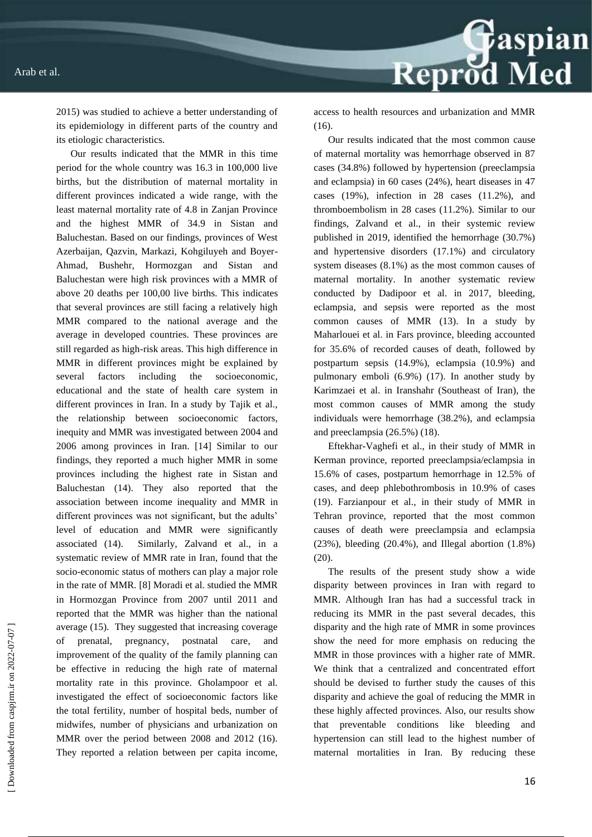Reprod Med

2015) was studied to achieve a better understanding of its epidemiology in different parts of the country and its etiologic characteristics.

Our results indicated that the MMR in this time period for the whole country was 16.3 in 100,000 live births, but the distribution of maternal mortality in different provinces indicated a wide range, with the least maternal mortality rate of 4.8 in Zanjan Province and the highest MMR of 34.9 in Sistan and Baluchestan. Based on our findings, provinces of West Azerbaijan, Qazvin, Markazi, Kohgiluyeh and Boyer-Ahmad, Bushehr, Hormozgan and Sistan and Baluchestan were high risk provinces with a MMR of above 20 deaths per 100,00 live births. This indicates that several provinces are still facing a relatively high MMR compared to the national average and the average in developed countries. These provinces are still regarded as high-risk areas. This high difference in MMR in different provinces might be explained by several factors including the socioeconomic, educational and the state of health care system in different provinces in Iran. In a study by Tajik et al., the relationship between socioeconomic factors, inequity and MMR was investigated between 2004 and 2006 among provinces in Iran. [14] Similar to our findings, they reported a much higher MMR in some provinces including the highest rate in Sistan and Baluchestan (14). They also reported that the association between income inequality and MMR in different provinces was not significant, but the adults' level of education and MMR were significantly associated (14). Similarly, Zalvand et al., in a systematic review of MMR rate in Iran, found that the socio-economic status of mothers can play a major role in the rate of MMR. [8] Moradi et al. studied the MMR in Hormozgan Province from 2007 until 2011 and reported that the MMR was higher than the national average (15). They suggested that increasing coverage of prenatal, pregnancy, postnatal care, and improvement of the quality of the family planning can be effective in reducing the high rate of maternal mortality rate in this province. Gholampoor et al. investigated the effect of socioeconomic factors like the total fertility, number of hospital beds, number of midwifes, number of physicians and urbanization on MMR over the period between 2008 and 2012 (16). They reported a relation between per capita income,

access to health resources and urbanization and MMR  $(16)$ .

Our results indicated that the most common cause of maternal mortality was hemorrhage observed in 87 cases (34.8%) followed by hypertension (preeclampsia and eclampsia) in 60 cases (24%), heart diseases in 47 cases (19%), infection in 28 cases (11.2%), and thromboembolism in 28 cases (11.2%). Similar to our findings, Zalvand et al., in their systemic review published in 2019, identified the hemorrhage (30.7%) and hypertensive disorders (17.1%) and circulatory system diseases (8.1%) as the most common causes of maternal mortality. In another systematic review conducted by Dadipoor et al. in 2017, bleeding, eclampsia, and sepsis were reported as the most common causes of MMR (13). In a study by Maharlouei et al. in Fars province, bleeding accounted for 35.6% of recorded causes of death, followed by postpartum sepsis (14.9%), eclampsia (10.9%) and pulmonary emboli (6.9%) (17). In another study by Karimzaei et al. in Iranshahr (Southeast of Iran), the most common causes of MMR among the study individuals were hemorrhage (38.2%), and eclampsia and preeclampsia (26.5%) (18).

Eftekhar-Vaghefi et al., in their study of MMR in Kerman province, reported preeclampsia/eclampsia in 15.6% of cases, postpartum hemorrhage in 12.5% of cases, and deep phlebothrombosis in 10.9% of cases (19). Farzianpour et al., in their study of MMR in Tehran province, reported that the most common causes of death were preeclampsia and eclampsia  $(23\%)$ , bleeding  $(20.4\%)$ , and Illegal abortion  $(1.8\%)$ (20).

The results of the present study show a wide disparity between provinces in Iran with regard to MMR. Although Iran has had a successful track in reducing its MMR in the past several decades, this disparity and the high rate of MMR in some provinces show the need for more emphasis on reducing the MMR in those provinces with a higher rate of MMR. We think that a centralized and concentrated effort should be devised to further study the causes of this disparity and achieve the goal of reducing the MMR in these highly affected provinces. Also, our results show that preventable conditions like bleeding and hypertension can still lead to the highest number of maternal mortalities in Iran. By reducing these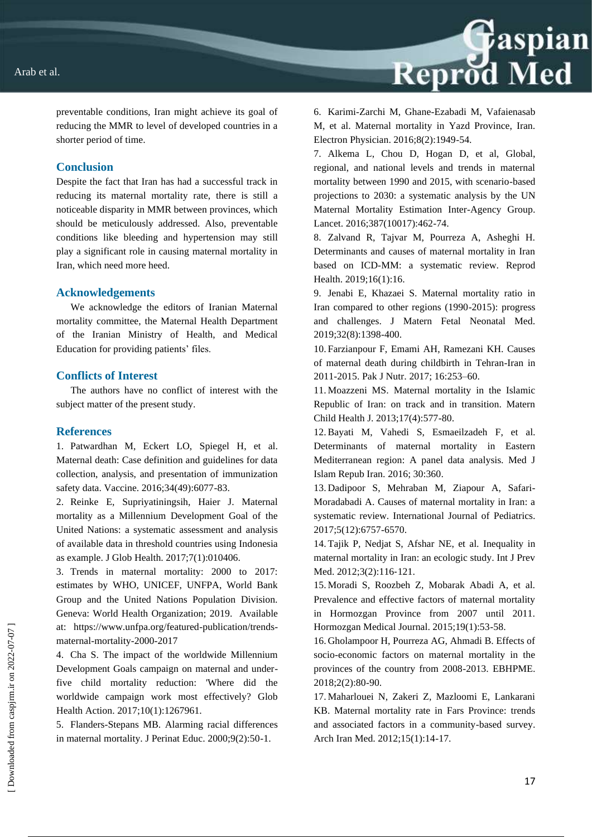

preventable conditions, Iran might achieve its goal of reducing the MMR to level of developed countries in a shorter period of time.

#### **Conclusion**

Despite the fact that Iran has had a successful track in reducing its maternal mortality rate, there is still a noticeable disparity in MMR between provinces, which should be meticulously addressed. Also, preventable conditions like bleeding and hypertension may still play a significant role in causing maternal mortality in Iran, which need more heed.

#### **Acknowledgements**

We acknowledge the editors of Iranian Maternal mortality committee, the Maternal Health Department of the Iranian Ministry of Health, and Medical Education for providing patients' files.

#### **Conflicts of Interest**

The authors have no conflict of interest with the subject matter of the present study.

#### **References**

1. Patwardhan M, Eckert LO, Spiegel H, et al. Maternal death: Case definition and guidelines for data collection, analysis, and presentation of immunization safety data. Vaccine. 2016;34(49):6077-83.

2. Reinke E, Supriyatiningsih, Haier J. Maternal mortality as a Millennium Development Goal of the United Nations: a systematic assessment and analysis of available data in threshold countries using Indonesia as example. J Glob Health. 2017;7(1):010406.

3. Trends in maternal mortality: 2000 to 2017: estimates by WHO, UNICEF, UNFPA, World Bank Group and the United Nations Population Division. Geneva: World Health Organization; 2019. Available at: https://www.unfpa.org/featured-publication/trendsmaternal-mortality-2000-2017

4. Cha S. The impact of the worldwide Millennium Development Goals campaign on maternal and underfive child mortality reduction: 'Where did the worldwide campaign work most effectively? Glob Health Action. 2017;10(1):1267961.

5. Flanders-Stepans MB. Alarming racial differences in maternal mortality. J Perinat Educ. 2000;9(2):50-1.

6. Karimi-Zarchi M, Ghane-Ezabadi M, Vafaienasab M, et al. Maternal mortality in Yazd Province, Iran. Electron Physician. 2016;8(2):1949-54.

7. Alkema L, Chou D, Hogan D, et al, Global, regional, and national levels and trends in maternal mortality between 1990 and 2015, with scenario-based projections to 2030: a systematic analysis by the UN Maternal Mortality Estimation Inter-Agency Group. Lancet. 2016;387(10017):462-74.

8. Zalvand R, Tajvar M, Pourreza A, Asheghi H. Determinants and causes of maternal mortality in Iran based on ICD-MM: a systematic review. Reprod Health. 2019;16(1):16.

9. Jenabi E, Khazaei S. Maternal mortality ratio in Iran compared to other regions (1990-2015): progress and challenges. J Matern Fetal Neonatal Med. 2019;32(8):1398-400.

10. Farzianpour F, Emami AH, Ramezani KH. Causes of maternal death during childbirth in Tehran-Iran in 2011-2015. Pak J Nutr. 2017; 16:253–60.

11. Moazzeni MS. Maternal mortality in the Islamic Republic of Iran: on track and in transition. Matern Child Health J. 2013;17(4):577-80.

12.Bayati M, Vahedi S, Esmaeilzadeh F, et al. Determinants of maternal mortality in Eastern Mediterranean region: A panel data analysis. Med J Islam Repub Iran. 2016; 30:360.

13. Dadipoor S, Mehraban M, Ziapour A, Safari-Moradabadi A. Causes of maternal mortality in Iran: a systematic review. International Journal of Pediatrics. 2017;5(12):6757-6570.

14. Tajik P, Nedjat S, Afshar NE, et al. Inequality in maternal mortality in Iran: an ecologic study. Int J Prev Med. 2012;3(2):116‐121.

15. Moradi S, Roozbeh Z, Mobarak Abadi A, et al. Prevalence and effective factors of maternal mortality in Hormozgan Province from 2007 until 2011. Hormozgan Medical Journal. 2015;19(1):53-58.

16. Gholampoor H, Pourreza AG, Ahmadi B. Effects of socio-economic factors on maternal mortality in the provinces of the country from 2008-2013. EBHPME. 2018;2(2):80-90.

17. Maharlouei N, Zakeri Z, Mazloomi E, Lankarani KB. Maternal mortality rate in Fars Province: trends and associated factors in a community-based survey. Arch Iran Med. 2012;15(1):14-17.